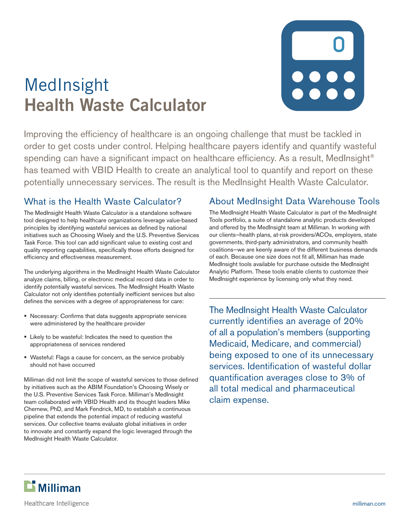# MedInsight **Health Waste Calculator**

Improving the efficiency of healthcare is an ongoing challenge that must be tackled in order to get costs under control. Helping healthcare payers identify and quantify wasteful spending can have a significant impact on healthcare efficiency. As a result, MedInsight<sup>®</sup> has teamed with VBID Health to create an analytical tool to quantify and report on these potentially unnecessary services. The result is the MedInsight Health Waste Calculator.

### What is the Health Waste Calculator?

The MedInsight Health Waste Calculator is a standalone software tool designed to help healthcare organizations leverage value-based principles by identifying wasteful services as defined by national initiatives such as Choosing Wisely and the U.S. Preventive Services Task Force. This tool can add significant value to existing cost and quality reporting capabilities, specifically those efforts designed for efficiency and effectiveness measurement.

The underlying algorithms in the MedInsight Health Waste Calculator analyze claims, billing, or electronic medical record data in order to identify potentially wasteful services. The MedInsight Health Waste Calculator not only identifies potentially inefficient services but also defines the services with a degree of appropriateness for care:

- Necessary: Confirms that data suggests appropriate services were administered by the healthcare provider
- Likely to be wasteful: Indicates the need to question the appropriateness of services rendered
- Wasteful: Flags a cause for concern, as the service probably should not have occurred

Milliman did not limit the scope of wasteful services to those defined by initiatives such as the ABIM Foundation's Choosing Wisely or the U.S. Preventive Services Task Force. Milliman's MedInsight team collaborated with VBID Health and its thought leaders Mike Chernew, PhD, and Mark Fendrick, MD, to establish a continuous pipeline that extends the potential impact of reducing wasteful services. Our collective teams evaluate global initiatives in order to innovate and constantly expand the logic leveraged through the MedInsight Health Waste Calculator.

#### About MedInsight Data Warehouse Tools

The MedInsight Health Waste Calculator is part of the MedInsight Tools portfolio, a suite of standalone analytic products developed and offered by the MedInsight team at Milliman. In working with our clients—health plans, at-risk providers/ACOs, employers, state governments, third-party administrators, and community health coalitions—we are keenly aware of the different business demands of each. Because one size does not fit all, Milliman has made MedInsight tools available for purchase outside the MedInsight Analytic Platform. These tools enable clients to customize their MedInsight experience by licensing only what they need.

The MedInsight Health Waste Calculator currently identifies an average of 20% of all a population's members (supporting Medicaid, Medicare, and commercial) being exposed to one of its unnecessary services. Identification of wasteful dollar quantification averages close to 3% of all total medical and pharmaceutical claim expense.